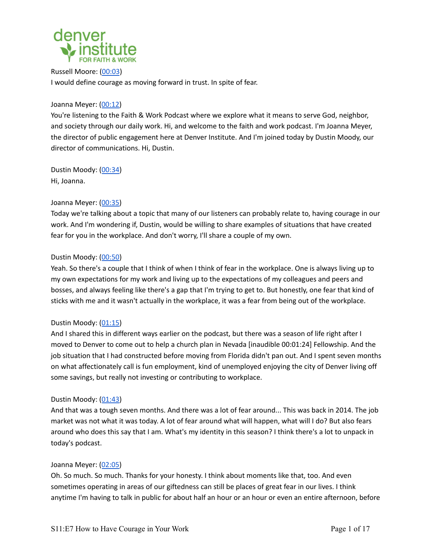

Russell Moore: [\(00:03](https://www.rev.com/transcript-editor/Edit?token=FBdrWRtQ4-Pm7iCO-YCp4LR5-Bj3G9OHMLoOApDunJtOAuxsyQDgGtSYZzYk8eoDQZRcdF5KY-GUOfYHno_5XOAsDqU&loadFrom=PastedDeeplink&ts=3.78)) I would define courage as moving forward in trust. In spite of fear.

# Joanna Meyer: ([00:12\)](https://www.rev.com/transcript-editor/Edit?token=FBdrWRtQ4-Pm7iCO-YCp4LR5-Bj3G9OHMLoOApDunJtOAuxsyQDgGtSYZzYk8eoDQZRcdF5KY-GUOfYHno_5XOAsDqU&loadFrom=PastedDeeplink&ts=12.81)

You're listening to the Faith & Work Podcast where we explore what it means to serve God, neighbor, and society through our daily work. Hi, and welcome to the faith and work podcast. I'm Joanna Meyer, the director of public engagement here at Denver Institute. And I'm joined today by Dustin Moody, our director of communications. Hi, Dustin.

Dustin Moody: ([00:34\)](https://www.rev.com/transcript-editor/Edit?token=FBdrWRtQ4-Pm7iCO-YCp4LR5-Bj3G9OHMLoOApDunJtOAuxsyQDgGtSYZzYk8eoDQZRcdF5KY-GUOfYHno_5XOAsDqU&loadFrom=PastedDeeplink&ts=34.13) Hi, Joanna.

# Joanna Meyer: ([00:35\)](https://www.rev.com/transcript-editor/Edit?token=FBdrWRtQ4-Pm7iCO-YCp4LR5-Bj3G9OHMLoOApDunJtOAuxsyQDgGtSYZzYk8eoDQZRcdF5KY-GUOfYHno_5XOAsDqU&loadFrom=PastedDeeplink&ts=35.47)

Today we're talking about a topic that many of our listeners can probably relate to, having courage in our work. And I'm wondering if, Dustin, would be willing to share examples of situations that have created fear for you in the workplace. And don't worry, I'll share a couple of my own.

# Dustin Moody: ([00:50\)](https://www.rev.com/transcript-editor/Edit?token=FBdrWRtQ4-Pm7iCO-YCp4LR5-Bj3G9OHMLoOApDunJtOAuxsyQDgGtSYZzYk8eoDQZRcdF5KY-GUOfYHno_5XOAsDqU&loadFrom=PastedDeeplink&ts=50.63)

Yeah. So there's a couple that I think of when I think of fear in the workplace. One is always living up to my own expectations for my work and living up to the expectations of my colleagues and peers and bosses, and always feeling like there's a gap that I'm trying to get to. But honestly, one fear that kind of sticks with me and it wasn't actually in the workplace, it was a fear from being out of the workplace.

# Dustin Moody: ([01:15\)](https://www.rev.com/transcript-editor/Edit?token=FBdrWRtQ4-Pm7iCO-YCp4LR5-Bj3G9OHMLoOApDunJtOAuxsyQDgGtSYZzYk8eoDQZRcdF5KY-GUOfYHno_5XOAsDqU&loadFrom=PastedDeeplink&ts=75.94)

And I shared this in different ways earlier on the podcast, but there was a season of life right after I moved to Denver to come out to help a church plan in Nevada [inaudible 00:01:24] Fellowship. And the job situation that I had constructed before moving from Florida didn't pan out. And I spent seven months on what affectionately call is fun employment, kind of unemployed enjoying the city of Denver living off some savings, but really not investing or contributing to workplace.

# Dustin Moody: ([01:43\)](https://www.rev.com/transcript-editor/Edit?token=FBdrWRtQ4-Pm7iCO-YCp4LR5-Bj3G9OHMLoOApDunJtOAuxsyQDgGtSYZzYk8eoDQZRcdF5KY-GUOfYHno_5XOAsDqU&loadFrom=PastedDeeplink&ts=103.03)

And that was a tough seven months. And there was a lot of fear around... This was back in 2014. The job market was not what it was today. A lot of fear around what will happen, what will I do? But also fears around who does this say that I am. What's my identity in this season? I think there's a lot to unpack in today's podcast.

# Joanna Meyer: ([02:05\)](https://www.rev.com/transcript-editor/Edit?token=FBdrWRtQ4-Pm7iCO-YCp4LR5-Bj3G9OHMLoOApDunJtOAuxsyQDgGtSYZzYk8eoDQZRcdF5KY-GUOfYHno_5XOAsDqU&loadFrom=PastedDeeplink&ts=125.72)

Oh. So much. So much. Thanks for your honesty. I think about moments like that, too. And even sometimes operating in areas of our giftedness can still be places of great fear in our lives. I think anytime I'm having to talk in public for about half an hour or an hour or even an entire afternoon, before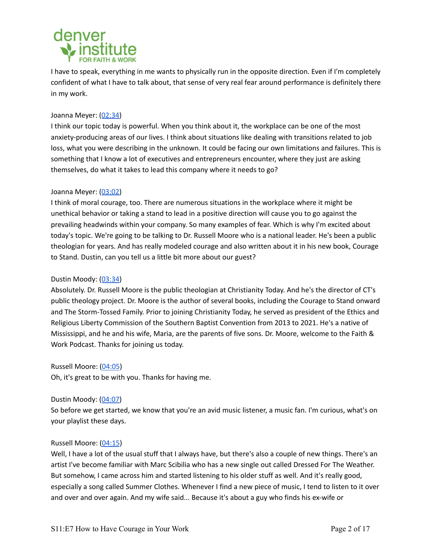

I have to speak, everything in me wants to physically run in the opposite direction. Even if I'm completely confident of what I have to talk about, that sense of very real fear around performance is definitely there in my work.

## Joanna Meyer: ([02:34\)](https://www.rev.com/transcript-editor/Edit?token=FBdrWRtQ4-Pm7iCO-YCp4LR5-Bj3G9OHMLoOApDunJtOAuxsyQDgGtSYZzYk8eoDQZRcdF5KY-GUOfYHno_5XOAsDqU&loadFrom=PastedDeeplink&ts=154.51)

I think our topic today is powerful. When you think about it, the workplace can be one of the most anxiety-producing areas of our lives. I think about situations like dealing with transitions related to job loss, what you were describing in the unknown. It could be facing our own limitations and failures. This is something that I know a lot of executives and entrepreneurs encounter, where they just are asking themselves, do what it takes to lead this company where it needs to go?

## Joanna Meyer: ([03:02\)](https://www.rev.com/transcript-editor/Edit?token=FBdrWRtQ4-Pm7iCO-YCp4LR5-Bj3G9OHMLoOApDunJtOAuxsyQDgGtSYZzYk8eoDQZRcdF5KY-GUOfYHno_5XOAsDqU&loadFrom=PastedDeeplink&ts=182.1)

I think of moral courage, too. There are numerous situations in the workplace where it might be unethical behavior or taking a stand to lead in a positive direction will cause you to go against the prevailing headwinds within your company. So many examples of fear. Which is why I'm excited about today's topic. We're going to be talking to Dr. Russell Moore who is a national leader. He's been a public theologian for years. And has really modeled courage and also written about it in his new book, Courage to Stand. Dustin, can you tell us a little bit more about our guest?

#### Dustin Moody: ([03:34\)](https://www.rev.com/transcript-editor/Edit?token=FBdrWRtQ4-Pm7iCO-YCp4LR5-Bj3G9OHMLoOApDunJtOAuxsyQDgGtSYZzYk8eoDQZRcdF5KY-GUOfYHno_5XOAsDqU&loadFrom=PastedDeeplink&ts=214)

Absolutely. Dr. Russell Moore is the public theologian at Christianity Today. And he's the director of CT's public theology project. Dr. Moore is the author of several books, including the Courage to Stand onward and The Storm-Tossed Family. Prior to joining Christianity Today, he served as president of the Ethics and Religious Liberty Commission of the Southern Baptist Convention from 2013 to 2021. He's a native of Mississippi, and he and his wife, Maria, are the parents of five sons. Dr. Moore, welcome to the Faith & Work Podcast. Thanks for joining us today.

Russell Moore: [\(04:05](https://www.rev.com/transcript-editor/Edit?token=FBdrWRtQ4-Pm7iCO-YCp4LR5-Bj3G9OHMLoOApDunJtOAuxsyQDgGtSYZzYk8eoDQZRcdF5KY-GUOfYHno_5XOAsDqU&loadFrom=PastedDeeplink&ts=245.91))

Oh, it's great to be with you. Thanks for having me.

#### Dustin Moody: ([04:07\)](https://www.rev.com/transcript-editor/Edit?token=FBdrWRtQ4-Pm7iCO-YCp4LR5-Bj3G9OHMLoOApDunJtOAuxsyQDgGtSYZzYk8eoDQZRcdF5KY-GUOfYHno_5XOAsDqU&loadFrom=PastedDeeplink&ts=247.89)

So before we get started, we know that you're an avid music listener, a music fan. I'm curious, what's on your playlist these days.

#### Russell Moore: [\(04:15](https://www.rev.com/transcript-editor/Edit?token=FBdrWRtQ4-Pm7iCO-YCp4LR5-Bj3G9OHMLoOApDunJtOAuxsyQDgGtSYZzYk8eoDQZRcdF5KY-GUOfYHno_5XOAsDqU&loadFrom=PastedDeeplink&ts=255.67))

Well, I have a lot of the usual stuff that I always have, but there's also a couple of new things. There's an artist I've become familiar with Marc Scibilia who has a new single out called Dressed For The Weather. But somehow, I came across him and started listening to his older stuff as well. And it's really good, especially a song called Summer Clothes. Whenever I find a new piece of music, I tend to listen to it over and over and over again. And my wife said... Because it's about a guy who finds his ex-wife or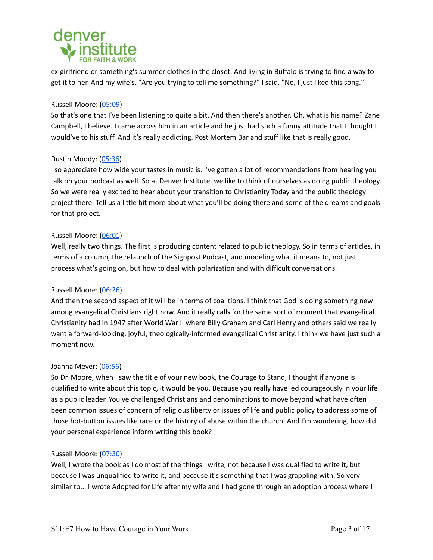

ex-girlfriend or something's summer clothes in the closet. And living in Buffalo is trying to find a way to get it to her. And my wife's, "Are you trying to tell me something?" I said, "No, I just liked this song."

## Russell Moore: [\(05:09](https://www.rev.com/transcript-editor/Edit?token=FBdrWRtQ4-Pm7iCO-YCp4LR5-Bj3G9OHMLoOApDunJtOAuxsyQDgGtSYZzYk8eoDQZRcdF5KY-GUOfYHno_5XOAsDqU&loadFrom=PastedDeeplink&ts=309.78))

So that's one that I've been listening to quite a bit. And then there's another. Oh, what is his name? Zane Campbell, I believe. I came across him in an article and he just had such a funny attitude that I thought I would've to his stuff. And it's really addicting. Post Mortem Bar and stuff like that is really good.

## Dustin Moody: ([05:36\)](https://www.rev.com/transcript-editor/Edit?token=FBdrWRtQ4-Pm7iCO-YCp4LR5-Bj3G9OHMLoOApDunJtOAuxsyQDgGtSYZzYk8eoDQZRcdF5KY-GUOfYHno_5XOAsDqU&loadFrom=PastedDeeplink&ts=336.49)

I so appreciate how wide your tastes in music is. I've gotten a lot of recommendations from hearing you talk on your podcast as well. So at Denver Institute, we like to think of ourselves as doing public theology. So we were really excited to hear about your transition to Christianity Today and the public theology project there. Tell us a little bit more about what you'll be doing there and some of the dreams and goals for that project.

## Russell Moore: [\(06:01](https://www.rev.com/transcript-editor/Edit?token=FBdrWRtQ4-Pm7iCO-YCp4LR5-Bj3G9OHMLoOApDunJtOAuxsyQDgGtSYZzYk8eoDQZRcdF5KY-GUOfYHno_5XOAsDqU&loadFrom=PastedDeeplink&ts=361))

Well, really two things. The first is producing content related to public theology. So in terms of articles, in terms of a column, the relaunch of the Signpost Podcast, and modeling what it means to, not just process what's going on, but how to deal with polarization and with difficult conversations.

# Russell Moore: [\(06:26](https://www.rev.com/transcript-editor/Edit?token=FBdrWRtQ4-Pm7iCO-YCp4LR5-Bj3G9OHMLoOApDunJtOAuxsyQDgGtSYZzYk8eoDQZRcdF5KY-GUOfYHno_5XOAsDqU&loadFrom=PastedDeeplink&ts=386.08))

And then the second aspect of it will be in terms of coalitions. I think that God is doing something new among evangelical Christians right now. And it really calls for the same sort of moment that evangelical Christianity had in 1947 after World War II where Billy Graham and Carl Henry and others said we really want a forward-looking, joyful, theologically-informed evangelical Christianity. I think we have just such a moment now.

#### Joanna Meyer: ([06:56\)](https://www.rev.com/transcript-editor/Edit?token=FBdrWRtQ4-Pm7iCO-YCp4LR5-Bj3G9OHMLoOApDunJtOAuxsyQDgGtSYZzYk8eoDQZRcdF5KY-GUOfYHno_5XOAsDqU&loadFrom=PastedDeeplink&ts=416.34)

So Dr. Moore, when I saw the title of your new book, the Courage to Stand, I thought if anyone is qualified to write about this topic, it would be you. Because you really have led courageously in your life as a public leader. You've challenged Christians and denominations to move beyond what have often been common issues of concern of religious liberty or issues of life and public policy to address some of those hot-button issues like race or the history of abuse within the church. And I'm wondering, how did your personal experience inform writing this book?

#### Russell Moore: [\(07:30](https://www.rev.com/transcript-editor/Edit?token=FBdrWRtQ4-Pm7iCO-YCp4LR5-Bj3G9OHMLoOApDunJtOAuxsyQDgGtSYZzYk8eoDQZRcdF5KY-GUOfYHno_5XOAsDqU&loadFrom=PastedDeeplink&ts=450.42))

Well, I wrote the book as I do most of the things I write, not because I was qualified to write it, but because I was unqualified to write it, and because it's something that I was grappling with. So very similar to... I wrote Adopted for Life after my wife and I had gone through an adoption process where I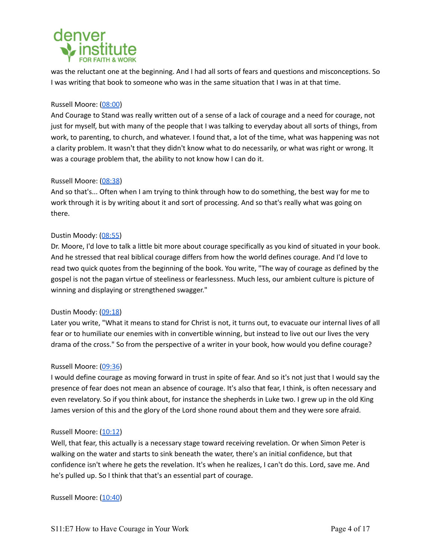# denver

was the reluctant one at the beginning. And I had all sorts of fears and questions and misconceptions. So I was writing that book to someone who was in the same situation that I was in at that time.

# Russell Moore: [\(08:00](https://www.rev.com/transcript-editor/Edit?token=FBdrWRtQ4-Pm7iCO-YCp4LR5-Bj3G9OHMLoOApDunJtOAuxsyQDgGtSYZzYk8eoDQZRcdF5KY-GUOfYHno_5XOAsDqU&loadFrom=PastedDeeplink&ts=480.89))

And Courage to Stand was really written out of a sense of a lack of courage and a need for courage, not just for myself, but with many of the people that I was talking to everyday about all sorts of things, from work, to parenting, to church, and whatever. I found that, a lot of the time, what was happening was not a clarity problem. It wasn't that they didn't know what to do necessarily, or what was right or wrong. It was a courage problem that, the ability to not know how I can do it.

# Russell Moore: [\(08:38](https://www.rev.com/transcript-editor/Edit?token=FBdrWRtQ4-Pm7iCO-YCp4LR5-Bj3G9OHMLoOApDunJtOAuxsyQDgGtSYZzYk8eoDQZRcdF5KY-GUOfYHno_5XOAsDqU&loadFrom=PastedDeeplink&ts=518.27))

And so that's... Often when I am trying to think through how to do something, the best way for me to work through it is by writing about it and sort of processing. And so that's really what was going on there.

# Dustin Moody: ([08:55\)](https://www.rev.com/transcript-editor/Edit?token=FBdrWRtQ4-Pm7iCO-YCp4LR5-Bj3G9OHMLoOApDunJtOAuxsyQDgGtSYZzYk8eoDQZRcdF5KY-GUOfYHno_5XOAsDqU&loadFrom=PastedDeeplink&ts=535.49)

Dr. Moore, I'd love to talk a little bit more about courage specifically as you kind of situated in your book. And he stressed that real biblical courage differs from how the world defines courage. And I'd love to read two quick quotes from the beginning of the book. You write, "The way of courage as defined by the gospel is not the pagan virtue of steeliness or fearlessness. Much less, our ambient culture is picture of winning and displaying or strengthened swagger."

# Dustin Moody: ([09:18\)](https://www.rev.com/transcript-editor/Edit?token=FBdrWRtQ4-Pm7iCO-YCp4LR5-Bj3G9OHMLoOApDunJtOAuxsyQDgGtSYZzYk8eoDQZRcdF5KY-GUOfYHno_5XOAsDqU&loadFrom=PastedDeeplink&ts=558.54)

Later you write, "What it means to stand for Christ is not, it turns out, to evacuate our internal lives of all fear or to humiliate our enemies with in convertible winning, but instead to live out our lives the very drama of the cross." So from the perspective of a writer in your book, how would you define courage?

# Russell Moore: [\(09:36](https://www.rev.com/transcript-editor/Edit?token=FBdrWRtQ4-Pm7iCO-YCp4LR5-Bj3G9OHMLoOApDunJtOAuxsyQDgGtSYZzYk8eoDQZRcdF5KY-GUOfYHno_5XOAsDqU&loadFrom=PastedDeeplink&ts=576.63))

I would define courage as moving forward in trust in spite of fear. And so it's not just that I would say the presence of fear does not mean an absence of courage. It's also that fear, I think, is often necessary and even revelatory. So if you think about, for instance the shepherds in Luke two. I grew up in the old King James version of this and the glory of the Lord shone round about them and they were sore afraid.

# Russell Moore: [\(10:12](https://www.rev.com/transcript-editor/Edit?token=FBdrWRtQ4-Pm7iCO-YCp4LR5-Bj3G9OHMLoOApDunJtOAuxsyQDgGtSYZzYk8eoDQZRcdF5KY-GUOfYHno_5XOAsDqU&loadFrom=PastedDeeplink&ts=612.24))

Well, that fear, this actually is a necessary stage toward receiving revelation. Or when Simon Peter is walking on the water and starts to sink beneath the water, there's an initial confidence, but that confidence isn't where he gets the revelation. It's when he realizes, I can't do this. Lord, save me. And he's pulled up. So I think that that's an essential part of courage.

Russell Moore: [\(10:40](https://www.rev.com/transcript-editor/Edit?token=FBdrWRtQ4-Pm7iCO-YCp4LR5-Bj3G9OHMLoOApDunJtOAuxsyQDgGtSYZzYk8eoDQZRcdF5KY-GUOfYHno_5XOAsDqU&loadFrom=PastedDeeplink&ts=640.54))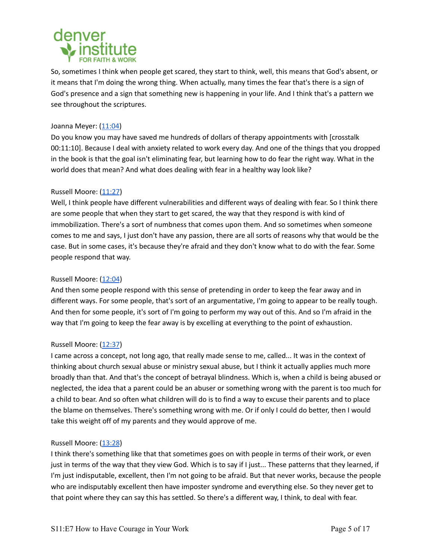

So, sometimes I think when people get scared, they start to think, well, this means that God's absent, or it means that I'm doing the wrong thing. When actually, many times the fear that's there is a sign of God's presence and a sign that something new is happening in your life. And I think that's a pattern we see throughout the scriptures.

## Joanna Meyer: ([11:04\)](https://www.rev.com/transcript-editor/Edit?token=FBdrWRtQ4-Pm7iCO-YCp4LR5-Bj3G9OHMLoOApDunJtOAuxsyQDgGtSYZzYk8eoDQZRcdF5KY-GUOfYHno_5XOAsDqU&loadFrom=PastedDeeplink&ts=664.57)

Do you know you may have saved me hundreds of dollars of therapy appointments with [crosstalk 00:11:10]. Because I deal with anxiety related to work every day. And one of the things that you dropped in the book is that the goal isn't eliminating fear, but learning how to do fear the right way. What in the world does that mean? And what does dealing with fear in a healthy way look like?

# Russell Moore: [\(11:27](https://www.rev.com/transcript-editor/Edit?token=FBdrWRtQ4-Pm7iCO-YCp4LR5-Bj3G9OHMLoOApDunJtOAuxsyQDgGtSYZzYk8eoDQZRcdF5KY-GUOfYHno_5XOAsDqU&loadFrom=PastedDeeplink&ts=687.75))

Well, I think people have different vulnerabilities and different ways of dealing with fear. So I think there are some people that when they start to get scared, the way that they respond is with kind of immobilization. There's a sort of numbness that comes upon them. And so sometimes when someone comes to me and says, I just don't have any passion, there are all sorts of reasons why that would be the case. But in some cases, it's because they're afraid and they don't know what to do with the fear. Some people respond that way.

## Russell Moore: [\(12:04](https://www.rev.com/transcript-editor/Edit?token=FBdrWRtQ4-Pm7iCO-YCp4LR5-Bj3G9OHMLoOApDunJtOAuxsyQDgGtSYZzYk8eoDQZRcdF5KY-GUOfYHno_5XOAsDqU&loadFrom=PastedDeeplink&ts=724.59))

And then some people respond with this sense of pretending in order to keep the fear away and in different ways. For some people, that's sort of an argumentative, I'm going to appear to be really tough. And then for some people, it's sort of I'm going to perform my way out of this. And so I'm afraid in the way that I'm going to keep the fear away is by excelling at everything to the point of exhaustion.

#### Russell Moore: [\(12:37](https://www.rev.com/transcript-editor/Edit?token=FBdrWRtQ4-Pm7iCO-YCp4LR5-Bj3G9OHMLoOApDunJtOAuxsyQDgGtSYZzYk8eoDQZRcdF5KY-GUOfYHno_5XOAsDqU&loadFrom=PastedDeeplink&ts=757.25))

I came across a concept, not long ago, that really made sense to me, called... It was in the context of thinking about church sexual abuse or ministry sexual abuse, but I think it actually applies much more broadly than that. And that's the concept of betrayal blindness. Which is, when a child is being abused or neglected, the idea that a parent could be an abuser or something wrong with the parent is too much for a child to bear. And so often what children will do is to find a way to excuse their parents and to place the blame on themselves. There's something wrong with me. Or if only I could do better, then I would take this weight off of my parents and they would approve of me.

#### Russell Moore: [\(13:28](https://www.rev.com/transcript-editor/Edit?token=FBdrWRtQ4-Pm7iCO-YCp4LR5-Bj3G9OHMLoOApDunJtOAuxsyQDgGtSYZzYk8eoDQZRcdF5KY-GUOfYHno_5XOAsDqU&loadFrom=PastedDeeplink&ts=808.2))

I think there's something like that that sometimes goes on with people in terms of their work, or even just in terms of the way that they view God. Which is to say if I just... These patterns that they learned, if I'm just indisputable, excellent, then I'm not going to be afraid. But that never works, because the people who are indisputably excellent then have imposter syndrome and everything else. So they never get to that point where they can say this has settled. So there's a different way, I think, to deal with fear.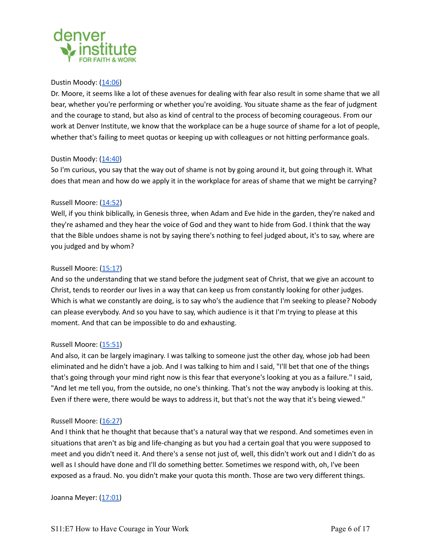

## Dustin Moody: ([14:06\)](https://www.rev.com/transcript-editor/Edit?token=FBdrWRtQ4-Pm7iCO-YCp4LR5-Bj3G9OHMLoOApDunJtOAuxsyQDgGtSYZzYk8eoDQZRcdF5KY-GUOfYHno_5XOAsDqU&loadFrom=PastedDeeplink&ts=846.62)

Dr. Moore, it seems like a lot of these avenues for dealing with fear also result in some shame that we all bear, whether you're performing or whether you're avoiding. You situate shame as the fear of judgment and the courage to stand, but also as kind of central to the process of becoming courageous. From our work at Denver Institute, we know that the workplace can be a huge source of shame for a lot of people, whether that's failing to meet quotas or keeping up with colleagues or not hitting performance goals.

## Dustin Moody: ([14:40\)](https://www.rev.com/transcript-editor/Edit?token=FBdrWRtQ4-Pm7iCO-YCp4LR5-Bj3G9OHMLoOApDunJtOAuxsyQDgGtSYZzYk8eoDQZRcdF5KY-GUOfYHno_5XOAsDqU&loadFrom=PastedDeeplink&ts=880.87)

So I'm curious, you say that the way out of shame is not by going around it, but going through it. What does that mean and how do we apply it in the workplace for areas of shame that we might be carrying?

## Russell Moore: [\(14:52](https://www.rev.com/transcript-editor/Edit?token=FBdrWRtQ4-Pm7iCO-YCp4LR5-Bj3G9OHMLoOApDunJtOAuxsyQDgGtSYZzYk8eoDQZRcdF5KY-GUOfYHno_5XOAsDqU&loadFrom=PastedDeeplink&ts=892.83))

Well, if you think biblically, in Genesis three, when Adam and Eve hide in the garden, they're naked and they're ashamed and they hear the voice of God and they want to hide from God. I think that the way that the Bible undoes shame is not by saying there's nothing to feel judged about, it's to say, where are you judged and by whom?

## Russell Moore: [\(15:17](https://www.rev.com/transcript-editor/Edit?token=FBdrWRtQ4-Pm7iCO-YCp4LR5-Bj3G9OHMLoOApDunJtOAuxsyQDgGtSYZzYk8eoDQZRcdF5KY-GUOfYHno_5XOAsDqU&loadFrom=PastedDeeplink&ts=917.83))

And so the understanding that we stand before the judgment seat of Christ, that we give an account to Christ, tends to reorder our lives in a way that can keep us from constantly looking for other judges. Which is what we constantly are doing, is to say who's the audience that I'm seeking to please? Nobody can please everybody. And so you have to say, which audience is it that I'm trying to please at this moment. And that can be impossible to do and exhausting.

#### Russell Moore: [\(15:51](https://www.rev.com/transcript-editor/Edit?token=FBdrWRtQ4-Pm7iCO-YCp4LR5-Bj3G9OHMLoOApDunJtOAuxsyQDgGtSYZzYk8eoDQZRcdF5KY-GUOfYHno_5XOAsDqU&loadFrom=PastedDeeplink&ts=951.14))

And also, it can be largely imaginary. I was talking to someone just the other day, whose job had been eliminated and he didn't have a job. And I was talking to him and I said, "I'll bet that one of the things that's going through your mind right now is this fear that everyone's looking at you as a failure." I said, "And let me tell you, from the outside, no one's thinking. That's not the way anybody is looking at this. Even if there were, there would be ways to address it, but that's not the way that it's being viewed."

#### Russell Moore: [\(16:27](https://www.rev.com/transcript-editor/Edit?token=FBdrWRtQ4-Pm7iCO-YCp4LR5-Bj3G9OHMLoOApDunJtOAuxsyQDgGtSYZzYk8eoDQZRcdF5KY-GUOfYHno_5XOAsDqU&loadFrom=PastedDeeplink&ts=987.72))

And I think that he thought that because that's a natural way that we respond. And sometimes even in situations that aren't as big and life-changing as but you had a certain goal that you were supposed to meet and you didn't need it. And there's a sense not just of, well, this didn't work out and I didn't do as well as I should have done and I'll do something better. Sometimes we respond with, oh, I've been exposed as a fraud. No. you didn't make your quota this month. Those are two very different things.

Joanna Meyer: ([17:01\)](https://www.rev.com/transcript-editor/Edit?token=FBdrWRtQ4-Pm7iCO-YCp4LR5-Bj3G9OHMLoOApDunJtOAuxsyQDgGtSYZzYk8eoDQZRcdF5KY-GUOfYHno_5XOAsDqU&loadFrom=PastedDeeplink&ts=1021.66)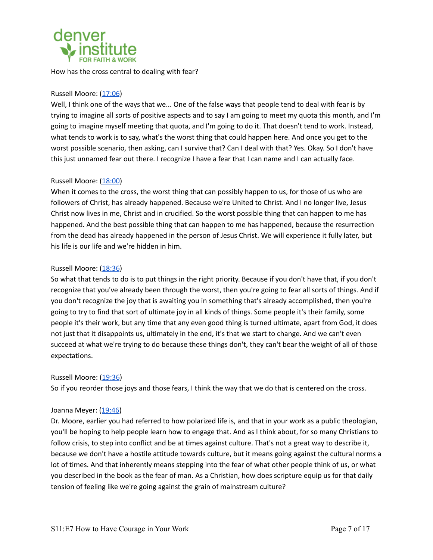

How has the cross central to dealing with fear?

# Russell Moore: [\(17:06](https://www.rev.com/transcript-editor/Edit?token=FBdrWRtQ4-Pm7iCO-YCp4LR5-Bj3G9OHMLoOApDunJtOAuxsyQDgGtSYZzYk8eoDQZRcdF5KY-GUOfYHno_5XOAsDqU&loadFrom=PastedDeeplink&ts=1026.97))

Well, I think one of the ways that we... One of the false ways that people tend to deal with fear is by trying to imagine all sorts of positive aspects and to say I am going to meet my quota this month, and I'm going to imagine myself meeting that quota, and I'm going to do it. That doesn't tend to work. Instead, what tends to work is to say, what's the worst thing that could happen here. And once you get to the worst possible scenario, then asking, can I survive that? Can I deal with that? Yes. Okay. So I don't have this just unnamed fear out there. I recognize I have a fear that I can name and I can actually face.

## Russell Moore: [\(18:00](https://www.rev.com/transcript-editor/Edit?token=FBdrWRtQ4-Pm7iCO-YCp4LR5-Bj3G9OHMLoOApDunJtOAuxsyQDgGtSYZzYk8eoDQZRcdF5KY-GUOfYHno_5XOAsDqU&loadFrom=PastedDeeplink&ts=1080.06))

When it comes to the cross, the worst thing that can possibly happen to us, for those of us who are followers of Christ, has already happened. Because we're United to Christ. And I no longer live, Jesus Christ now lives in me, Christ and in crucified. So the worst possible thing that can happen to me has happened. And the best possible thing that can happen to me has happened, because the resurrection from the dead has already happened in the person of Jesus Christ. We will experience it fully later, but his life is our life and we're hidden in him.

## Russell Moore: [\(18:36](https://www.rev.com/transcript-editor/Edit?token=FBdrWRtQ4-Pm7iCO-YCp4LR5-Bj3G9OHMLoOApDunJtOAuxsyQDgGtSYZzYk8eoDQZRcdF5KY-GUOfYHno_5XOAsDqU&loadFrom=PastedDeeplink&ts=1116.59))

So what that tends to do is to put things in the right priority. Because if you don't have that, if you don't recognize that you've already been through the worst, then you're going to fear all sorts of things. And if you don't recognize the joy that is awaiting you in something that's already accomplished, then you're going to try to find that sort of ultimate joy in all kinds of things. Some people it's their family, some people it's their work, but any time that any even good thing is turned ultimate, apart from God, it does not just that it disappoints us, ultimately in the end, it's that we start to change. And we can't even succeed at what we're trying to do because these things don't, they can't bear the weight of all of those expectations.

#### Russell Moore: [\(19:36](https://www.rev.com/transcript-editor/Edit?token=FBdrWRtQ4-Pm7iCO-YCp4LR5-Bj3G9OHMLoOApDunJtOAuxsyQDgGtSYZzYk8eoDQZRcdF5KY-GUOfYHno_5XOAsDqU&loadFrom=PastedDeeplink&ts=1176.74))

So if you reorder those joys and those fears, I think the way that we do that is centered on the cross.

#### Joanna Meyer: ([19:46\)](https://www.rev.com/transcript-editor/Edit?token=FBdrWRtQ4-Pm7iCO-YCp4LR5-Bj3G9OHMLoOApDunJtOAuxsyQDgGtSYZzYk8eoDQZRcdF5KY-GUOfYHno_5XOAsDqU&loadFrom=PastedDeeplink&ts=1186.13)

Dr. Moore, earlier you had referred to how polarized life is, and that in your work as a public theologian, you'll be hoping to help people learn how to engage that. And as I think about, for so many Christians to follow crisis, to step into conflict and be at times against culture. That's not a great way to describe it, because we don't have a hostile attitude towards culture, but it means going against the cultural norms a lot of times. And that inherently means stepping into the fear of what other people think of us, or what you described in the book as the fear of man. As a Christian, how does scripture equip us for that daily tension of feeling like we're going against the grain of mainstream culture?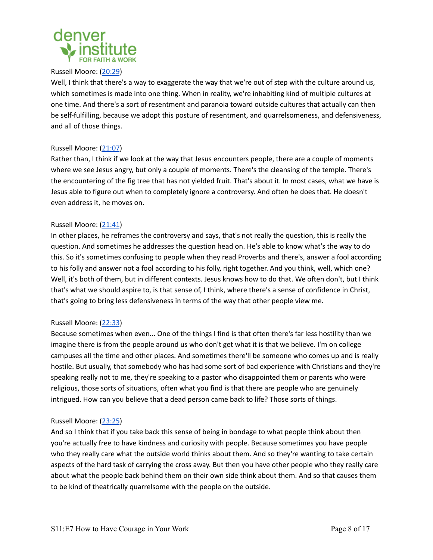

## Russell Moore: [\(20:29](https://www.rev.com/transcript-editor/Edit?token=FBdrWRtQ4-Pm7iCO-YCp4LR5-Bj3G9OHMLoOApDunJtOAuxsyQDgGtSYZzYk8eoDQZRcdF5KY-GUOfYHno_5XOAsDqU&loadFrom=PastedDeeplink&ts=1229.52))

Well, I think that there's a way to exaggerate the way that we're out of step with the culture around us, which sometimes is made into one thing. When in reality, we're inhabiting kind of multiple cultures at one time. And there's a sort of resentment and paranoia toward outside cultures that actually can then be self-fulfilling, because we adopt this posture of resentment, and quarrelsomeness, and defensiveness, and all of those things.

# Russell Moore: [\(21:07](https://www.rev.com/transcript-editor/Edit?token=FBdrWRtQ4-Pm7iCO-YCp4LR5-Bj3G9OHMLoOApDunJtOAuxsyQDgGtSYZzYk8eoDQZRcdF5KY-GUOfYHno_5XOAsDqU&loadFrom=PastedDeeplink&ts=1267.57))

Rather than, I think if we look at the way that Jesus encounters people, there are a couple of moments where we see Jesus angry, but only a couple of moments. There's the cleansing of the temple. There's the encountering of the fig tree that has not yielded fruit. That's about it. In most cases, what we have is Jesus able to figure out when to completely ignore a controversy. And often he does that. He doesn't even address it, he moves on.

## Russell Moore: [\(21:41](https://www.rev.com/transcript-editor/Edit?token=FBdrWRtQ4-Pm7iCO-YCp4LR5-Bj3G9OHMLoOApDunJtOAuxsyQDgGtSYZzYk8eoDQZRcdF5KY-GUOfYHno_5XOAsDqU&loadFrom=PastedDeeplink&ts=1301.24))

In other places, he reframes the controversy and says, that's not really the question, this is really the question. And sometimes he addresses the question head on. He's able to know what's the way to do this. So it's sometimes confusing to people when they read Proverbs and there's, answer a fool according to his folly and answer not a fool according to his folly, right together. And you think, well, which one? Well, it's both of them, but in different contexts. Jesus knows how to do that. We often don't, but I think that's what we should aspire to, is that sense of, I think, where there's a sense of confidence in Christ, that's going to bring less defensiveness in terms of the way that other people view me.

#### Russell Moore: [\(22:33](https://www.rev.com/transcript-editor/Edit?token=FBdrWRtQ4-Pm7iCO-YCp4LR5-Bj3G9OHMLoOApDunJtOAuxsyQDgGtSYZzYk8eoDQZRcdF5KY-GUOfYHno_5XOAsDqU&loadFrom=PastedDeeplink&ts=1353.43))

Because sometimes when even... One of the things I find is that often there's far less hostility than we imagine there is from the people around us who don't get what it is that we believe. I'm on college campuses all the time and other places. And sometimes there'll be someone who comes up and is really hostile. But usually, that somebody who has had some sort of bad experience with Christians and they're speaking really not to me, they're speaking to a pastor who disappointed them or parents who were religious, those sorts of situations, often what you find is that there are people who are genuinely intrigued. How can you believe that a dead person came back to life? Those sorts of things.

#### Russell Moore: [\(23:25](https://www.rev.com/transcript-editor/Edit?token=FBdrWRtQ4-Pm7iCO-YCp4LR5-Bj3G9OHMLoOApDunJtOAuxsyQDgGtSYZzYk8eoDQZRcdF5KY-GUOfYHno_5XOAsDqU&loadFrom=PastedDeeplink&ts=1405.79))

And so I think that if you take back this sense of being in bondage to what people think about then you're actually free to have kindness and curiosity with people. Because sometimes you have people who they really care what the outside world thinks about them. And so they're wanting to take certain aspects of the hard task of carrying the cross away. But then you have other people who they really care about what the people back behind them on their own side think about them. And so that causes them to be kind of theatrically quarrelsome with the people on the outside.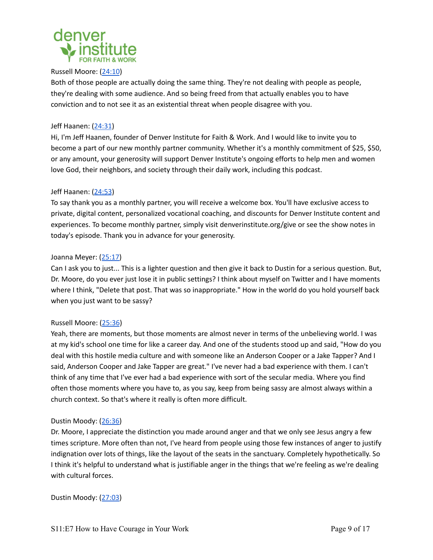

## Russell Moore: [\(24:10](https://www.rev.com/transcript-editor/Edit?token=FBdrWRtQ4-Pm7iCO-YCp4LR5-Bj3G9OHMLoOApDunJtOAuxsyQDgGtSYZzYk8eoDQZRcdF5KY-GUOfYHno_5XOAsDqU&loadFrom=PastedDeeplink&ts=1450.09))

Both of those people are actually doing the same thing. They're not dealing with people as people, they're dealing with some audience. And so being freed from that actually enables you to have conviction and to not see it as an existential threat when people disagree with you.

## Jeff Haanen: [\(24:31](https://www.rev.com/transcript-editor/Edit?token=FBdrWRtQ4-Pm7iCO-YCp4LR5-Bj3G9OHMLoOApDunJtOAuxsyQDgGtSYZzYk8eoDQZRcdF5KY-GUOfYHno_5XOAsDqU&loadFrom=PastedDeeplink&ts=1471.77))

Hi, I'm Jeff Haanen, founder of Denver Institute for Faith & Work. And I would like to invite you to become a part of our new monthly partner community. Whether it's a monthly commitment of \$25, \$50, or any amount, your generosity will support Denver Institute's ongoing efforts to help men and women love God, their neighbors, and society through their daily work, including this podcast.

## Jeff Haanen: [\(24:53](https://www.rev.com/transcript-editor/Edit?token=FBdrWRtQ4-Pm7iCO-YCp4LR5-Bj3G9OHMLoOApDunJtOAuxsyQDgGtSYZzYk8eoDQZRcdF5KY-GUOfYHno_5XOAsDqU&loadFrom=PastedDeeplink&ts=1493.09))

To say thank you as a monthly partner, you will receive a welcome box. You'll have exclusive access to private, digital content, personalized vocational coaching, and discounts for Denver Institute content and experiences. To become monthly partner, simply visit denverinstitute.org/give or see the show notes in today's episode. Thank you in advance for your generosity.

## Joanna Meyer: ([25:17\)](https://www.rev.com/transcript-editor/Edit?token=FBdrWRtQ4-Pm7iCO-YCp4LR5-Bj3G9OHMLoOApDunJtOAuxsyQDgGtSYZzYk8eoDQZRcdF5KY-GUOfYHno_5XOAsDqU&loadFrom=PastedDeeplink&ts=1517.61)

Can I ask you to just... This is a lighter question and then give it back to Dustin for a serious question. But, Dr. Moore, do you ever just lose it in public settings? I think about myself on Twitter and I have moments where I think, "Delete that post. That was so inappropriate." How in the world do you hold yourself back when you just want to be sassy?

#### Russell Moore: [\(25:36](https://www.rev.com/transcript-editor/Edit?token=FBdrWRtQ4-Pm7iCO-YCp4LR5-Bj3G9OHMLoOApDunJtOAuxsyQDgGtSYZzYk8eoDQZRcdF5KY-GUOfYHno_5XOAsDqU&loadFrom=PastedDeeplink&ts=1536.27))

Yeah, there are moments, but those moments are almost never in terms of the unbelieving world. I was at my kid's school one time for like a career day. And one of the students stood up and said, "How do you deal with this hostile media culture and with someone like an Anderson Cooper or a Jake Tapper? And I said, Anderson Cooper and Jake Tapper are great." I've never had a bad experience with them. I can't think of any time that I've ever had a bad experience with sort of the secular media. Where you find often those moments where you have to, as you say, keep from being sassy are almost always within a church context. So that's where it really is often more difficult.

#### Dustin Moody: ([26:36\)](https://www.rev.com/transcript-editor/Edit?token=FBdrWRtQ4-Pm7iCO-YCp4LR5-Bj3G9OHMLoOApDunJtOAuxsyQDgGtSYZzYk8eoDQZRcdF5KY-GUOfYHno_5XOAsDqU&loadFrom=PastedDeeplink&ts=1596.62)

Dr. Moore, I appreciate the distinction you made around anger and that we only see Jesus angry a few times scripture. More often than not, I've heard from people using those few instances of anger to justify indignation over lots of things, like the layout of the seats in the sanctuary. Completely hypothetically. So I think it's helpful to understand what is justifiable anger in the things that we're feeling as we're dealing with cultural forces.

Dustin Moody: ([27:03\)](https://www.rev.com/transcript-editor/Edit?token=FBdrWRtQ4-Pm7iCO-YCp4LR5-Bj3G9OHMLoOApDunJtOAuxsyQDgGtSYZzYk8eoDQZRcdF5KY-GUOfYHno_5XOAsDqU&loadFrom=PastedDeeplink&ts=1623.87)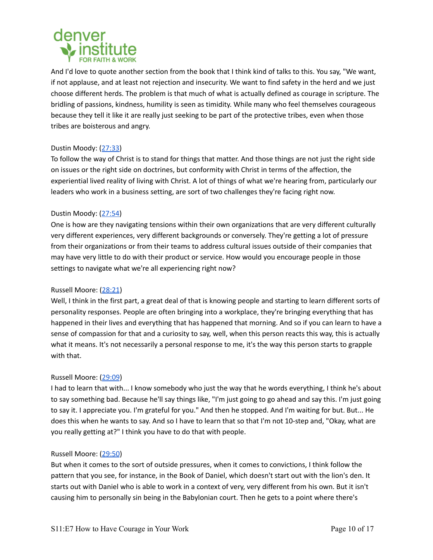

And I'd love to quote another section from the book that I think kind of talks to this. You say, "We want, if not applause, and at least not rejection and insecurity. We want to find safety in the herd and we just choose different herds. The problem is that much of what is actually defined as courage in scripture. The bridling of passions, kindness, humility is seen as timidity. While many who feel themselves courageous because they tell it like it are really just seeking to be part of the protective tribes, even when those tribes are boisterous and angry.

# Dustin Moody: ([27:33\)](https://www.rev.com/transcript-editor/Edit?token=FBdrWRtQ4-Pm7iCO-YCp4LR5-Bj3G9OHMLoOApDunJtOAuxsyQDgGtSYZzYk8eoDQZRcdF5KY-GUOfYHno_5XOAsDqU&loadFrom=PastedDeeplink&ts=1653.44)

To follow the way of Christ is to stand for things that matter. And those things are not just the right side on issues or the right side on doctrines, but conformity with Christ in terms of the affection, the experiential lived reality of living with Christ. A lot of things of what we're hearing from, particularly our leaders who work in a business setting, are sort of two challenges they're facing right now.

# Dustin Moody: ([27:54\)](https://www.rev.com/transcript-editor/Edit?token=FBdrWRtQ4-Pm7iCO-YCp4LR5-Bj3G9OHMLoOApDunJtOAuxsyQDgGtSYZzYk8eoDQZRcdF5KY-GUOfYHno_5XOAsDqU&loadFrom=PastedDeeplink&ts=1674.4)

One is how are they navigating tensions within their own organizations that are very different culturally very different experiences, very different backgrounds or conversely. They're getting a lot of pressure from their organizations or from their teams to address cultural issues outside of their companies that may have very little to do with their product or service. How would you encourage people in those settings to navigate what we're all experiencing right now?

# Russell Moore: [\(28:21](https://www.rev.com/transcript-editor/Edit?token=FBdrWRtQ4-Pm7iCO-YCp4LR5-Bj3G9OHMLoOApDunJtOAuxsyQDgGtSYZzYk8eoDQZRcdF5KY-GUOfYHno_5XOAsDqU&loadFrom=PastedDeeplink&ts=1701.51))

Well, I think in the first part, a great deal of that is knowing people and starting to learn different sorts of personality responses. People are often bringing into a workplace, they're bringing everything that has happened in their lives and everything that has happened that morning. And so if you can learn to have a sense of compassion for that and a curiosity to say, well, when this person reacts this way, this is actually what it means. It's not necessarily a personal response to me, it's the way this person starts to grapple with that.

# Russell Moore: [\(29:09](https://www.rev.com/transcript-editor/Edit?token=FBdrWRtQ4-Pm7iCO-YCp4LR5-Bj3G9OHMLoOApDunJtOAuxsyQDgGtSYZzYk8eoDQZRcdF5KY-GUOfYHno_5XOAsDqU&loadFrom=PastedDeeplink&ts=1749.15))

I had to learn that with... I know somebody who just the way that he words everything, I think he's about to say something bad. Because he'll say things like, "I'm just going to go ahead and say this. I'm just going to say it. I appreciate you. I'm grateful for you." And then he stopped. And I'm waiting for but. But... He does this when he wants to say. And so I have to learn that so that I'm not 10-step and, "Okay, what are you really getting at?" I think you have to do that with people.

# Russell Moore: [\(29:50](https://www.rev.com/transcript-editor/Edit?token=FBdrWRtQ4-Pm7iCO-YCp4LR5-Bj3G9OHMLoOApDunJtOAuxsyQDgGtSYZzYk8eoDQZRcdF5KY-GUOfYHno_5XOAsDqU&loadFrom=PastedDeeplink&ts=1790.43))

But when it comes to the sort of outside pressures, when it comes to convictions, I think follow the pattern that you see, for instance, in the Book of Daniel, which doesn't start out with the lion's den. It starts out with Daniel who is able to work in a context of very, very different from his own. But it isn't causing him to personally sin being in the Babylonian court. Then he gets to a point where there's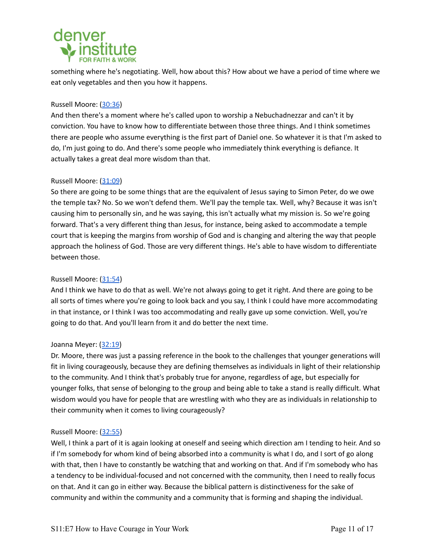# denver

something where he's negotiating. Well, how about this? How about we have a period of time where we eat only vegetables and then you how it happens.

# Russell Moore: [\(30:36](https://www.rev.com/transcript-editor/Edit?token=FBdrWRtQ4-Pm7iCO-YCp4LR5-Bj3G9OHMLoOApDunJtOAuxsyQDgGtSYZzYk8eoDQZRcdF5KY-GUOfYHno_5XOAsDqU&loadFrom=PastedDeeplink&ts=1836.15))

And then there's a moment where he's called upon to worship a Nebuchadnezzar and can't it by conviction. You have to know how to differentiate between those three things. And I think sometimes there are people who assume everything is the first part of Daniel one. So whatever it is that I'm asked to do, I'm just going to do. And there's some people who immediately think everything is defiance. It actually takes a great deal more wisdom than that.

# Russell Moore: [\(31:09](https://www.rev.com/transcript-editor/Edit?token=FBdrWRtQ4-Pm7iCO-YCp4LR5-Bj3G9OHMLoOApDunJtOAuxsyQDgGtSYZzYk8eoDQZRcdF5KY-GUOfYHno_5XOAsDqU&loadFrom=PastedDeeplink&ts=1869.48))

So there are going to be some things that are the equivalent of Jesus saying to Simon Peter, do we owe the temple tax? No. So we won't defend them. We'll pay the temple tax. Well, why? Because it was isn't causing him to personally sin, and he was saying, this isn't actually what my mission is. So we're going forward. That's a very different thing than Jesus, for instance, being asked to accommodate a temple court that is keeping the margins from worship of God and is changing and altering the way that people approach the holiness of God. Those are very different things. He's able to have wisdom to differentiate between those.

# Russell Moore: [\(31:54](https://www.rev.com/transcript-editor/Edit?token=FBdrWRtQ4-Pm7iCO-YCp4LR5-Bj3G9OHMLoOApDunJtOAuxsyQDgGtSYZzYk8eoDQZRcdF5KY-GUOfYHno_5XOAsDqU&loadFrom=PastedDeeplink&ts=1914.56))

And I think we have to do that as well. We're not always going to get it right. And there are going to be all sorts of times where you're going to look back and you say, I think I could have more accommodating in that instance, or I think I was too accommodating and really gave up some conviction. Well, you're going to do that. And you'll learn from it and do better the next time.

# Joanna Meyer: ([32:19\)](https://www.rev.com/transcript-editor/Edit?token=FBdrWRtQ4-Pm7iCO-YCp4LR5-Bj3G9OHMLoOApDunJtOAuxsyQDgGtSYZzYk8eoDQZRcdF5KY-GUOfYHno_5XOAsDqU&loadFrom=PastedDeeplink&ts=1939.48)

Dr. Moore, there was just a passing reference in the book to the challenges that younger generations will fit in living courageously, because they are defining themselves as individuals in light of their relationship to the community. And I think that's probably true for anyone, regardless of age, but especially for younger folks, that sense of belonging to the group and being able to take a stand is really difficult. What wisdom would you have for people that are wrestling with who they are as individuals in relationship to their community when it comes to living courageously?

# Russell Moore: [\(32:55](https://www.rev.com/transcript-editor/Edit?token=FBdrWRtQ4-Pm7iCO-YCp4LR5-Bj3G9OHMLoOApDunJtOAuxsyQDgGtSYZzYk8eoDQZRcdF5KY-GUOfYHno_5XOAsDqU&loadFrom=PastedDeeplink&ts=1975.77))

Well, I think a part of it is again looking at oneself and seeing which direction am I tending to heir. And so if I'm somebody for whom kind of being absorbed into a community is what I do, and I sort of go along with that, then I have to constantly be watching that and working on that. And if I'm somebody who has a tendency to be individual-focused and not concerned with the community, then I need to really focus on that. And it can go in either way. Because the biblical pattern is distinctiveness for the sake of community and within the community and a community that is forming and shaping the individual.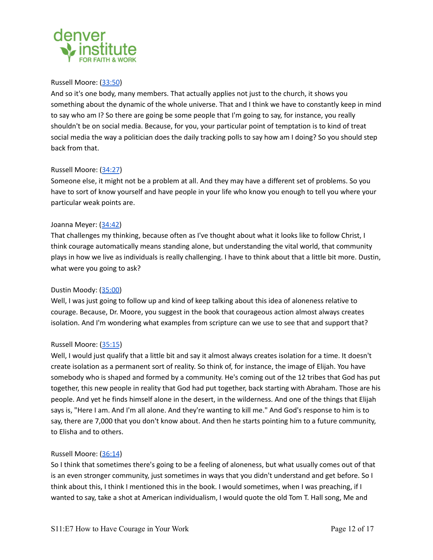

# Russell Moore: [\(33:50](https://www.rev.com/transcript-editor/Edit?token=FBdrWRtQ4-Pm7iCO-YCp4LR5-Bj3G9OHMLoOApDunJtOAuxsyQDgGtSYZzYk8eoDQZRcdF5KY-GUOfYHno_5XOAsDqU&loadFrom=PastedDeeplink&ts=2030.55))

And so it's one body, many members. That actually applies not just to the church, it shows you something about the dynamic of the whole universe. That and I think we have to constantly keep in mind to say who am I? So there are going be some people that I'm going to say, for instance, you really shouldn't be on social media. Because, for you, your particular point of temptation is to kind of treat social media the way a politician does the daily tracking polls to say how am I doing? So you should step back from that.

## Russell Moore: [\(34:27](https://www.rev.com/transcript-editor/Edit?token=FBdrWRtQ4-Pm7iCO-YCp4LR5-Bj3G9OHMLoOApDunJtOAuxsyQDgGtSYZzYk8eoDQZRcdF5KY-GUOfYHno_5XOAsDqU&loadFrom=PastedDeeplink&ts=2067.15))

Someone else, it might not be a problem at all. And they may have a different set of problems. So you have to sort of know yourself and have people in your life who know you enough to tell you where your particular weak points are.

## Joanna Meyer: ([34:42\)](https://www.rev.com/transcript-editor/Edit?token=FBdrWRtQ4-Pm7iCO-YCp4LR5-Bj3G9OHMLoOApDunJtOAuxsyQDgGtSYZzYk8eoDQZRcdF5KY-GUOfYHno_5XOAsDqU&loadFrom=PastedDeeplink&ts=2082.73)

That challenges my thinking, because often as I've thought about what it looks like to follow Christ, I think courage automatically means standing alone, but understanding the vital world, that community plays in how we live as individuals is really challenging. I have to think about that a little bit more. Dustin, what were you going to ask?

# Dustin Moody: ([35:00\)](https://www.rev.com/transcript-editor/Edit?token=FBdrWRtQ4-Pm7iCO-YCp4LR5-Bj3G9OHMLoOApDunJtOAuxsyQDgGtSYZzYk8eoDQZRcdF5KY-GUOfYHno_5XOAsDqU&loadFrom=PastedDeeplink&ts=2100.34)

Well, I was just going to follow up and kind of keep talking about this idea of aloneness relative to courage. Because, Dr. Moore, you suggest in the book that courageous action almost always creates isolation. And I'm wondering what examples from scripture can we use to see that and support that?

#### Russell Moore: [\(35:15](https://www.rev.com/transcript-editor/Edit?token=FBdrWRtQ4-Pm7iCO-YCp4LR5-Bj3G9OHMLoOApDunJtOAuxsyQDgGtSYZzYk8eoDQZRcdF5KY-GUOfYHno_5XOAsDqU&loadFrom=PastedDeeplink&ts=2115.32))

Well, I would just qualify that a little bit and say it almost always creates isolation for a time. It doesn't create isolation as a permanent sort of reality. So think of, for instance, the image of Elijah. You have somebody who is shaped and formed by a community. He's coming out of the 12 tribes that God has put together, this new people in reality that God had put together, back starting with Abraham. Those are his people. And yet he finds himself alone in the desert, in the wilderness. And one of the things that Elijah says is, "Here I am. And I'm all alone. And they're wanting to kill me." And God's response to him is to say, there are 7,000 that you don't know about. And then he starts pointing him to a future community, to Elisha and to others.

#### Russell Moore: [\(36:14](https://www.rev.com/transcript-editor/Edit?token=FBdrWRtQ4-Pm7iCO-YCp4LR5-Bj3G9OHMLoOApDunJtOAuxsyQDgGtSYZzYk8eoDQZRcdF5KY-GUOfYHno_5XOAsDqU&loadFrom=PastedDeeplink&ts=2174.65))

So I think that sometimes there's going to be a feeling of aloneness, but what usually comes out of that is an even stronger community, just sometimes in ways that you didn't understand and get before. So I think about this, I think I mentioned this in the book. I would sometimes, when I was preaching, if I wanted to say, take a shot at American individualism, I would quote the old Tom T. Hall song, Me and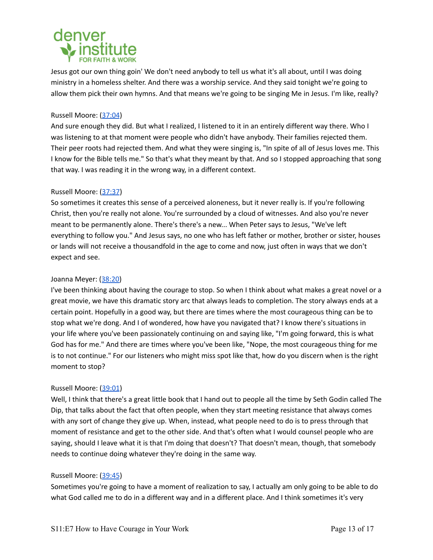

Jesus got our own thing goin' We don't need anybody to tell us what it's all about, until I was doing ministry in a homeless shelter. And there was a worship service. And they said tonight we're going to allow them pick their own hymns. And that means we're going to be singing Me in Jesus. I'm like, really?

## Russell Moore: [\(37:04](https://www.rev.com/transcript-editor/Edit?token=FBdrWRtQ4-Pm7iCO-YCp4LR5-Bj3G9OHMLoOApDunJtOAuxsyQDgGtSYZzYk8eoDQZRcdF5KY-GUOfYHno_5XOAsDqU&loadFrom=PastedDeeplink&ts=2224.64))

And sure enough they did. But what I realized, I listened to it in an entirely different way there. Who I was listening to at that moment were people who didn't have anybody. Their families rejected them. Their peer roots had rejected them. And what they were singing is, "In spite of all of Jesus loves me. This I know for the Bible tells me." So that's what they meant by that. And so I stopped approaching that song that way. I was reading it in the wrong way, in a different context.

## Russell Moore: [\(37:37](https://www.rev.com/transcript-editor/Edit?token=FBdrWRtQ4-Pm7iCO-YCp4LR5-Bj3G9OHMLoOApDunJtOAuxsyQDgGtSYZzYk8eoDQZRcdF5KY-GUOfYHno_5XOAsDqU&loadFrom=PastedDeeplink&ts=2257.2))

So sometimes it creates this sense of a perceived aloneness, but it never really is. If you're following Christ, then you're really not alone. You're surrounded by a cloud of witnesses. And also you're never meant to be permanently alone. There's there's a new... When Peter says to Jesus, "We've left everything to follow you." And Jesus says, no one who has left father or mother, brother or sister, houses or lands will not receive a thousandfold in the age to come and now, just often in ways that we don't expect and see.

## Joanna Meyer: ([38:20\)](https://www.rev.com/transcript-editor/Edit?token=FBdrWRtQ4-Pm7iCO-YCp4LR5-Bj3G9OHMLoOApDunJtOAuxsyQDgGtSYZzYk8eoDQZRcdF5KY-GUOfYHno_5XOAsDqU&loadFrom=PastedDeeplink&ts=2300.66)

I've been thinking about having the courage to stop. So when I think about what makes a great novel or a great movie, we have this dramatic story arc that always leads to completion. The story always ends at a certain point. Hopefully in a good way, but there are times where the most courageous thing can be to stop what we're dong. And I of wondered, how have you navigated that? I know there's situations in your life where you've been passionately continuing on and saying like, "I'm going forward, this is what God has for me." And there are times where you've been like, "Nope, the most courageous thing for me is to not continue." For our listeners who might miss spot like that, how do you discern when is the right moment to stop?

#### Russell Moore: [\(39:01](https://www.rev.com/transcript-editor/Edit?token=FBdrWRtQ4-Pm7iCO-YCp4LR5-Bj3G9OHMLoOApDunJtOAuxsyQDgGtSYZzYk8eoDQZRcdF5KY-GUOfYHno_5XOAsDqU&loadFrom=PastedDeeplink&ts=2341.57))

Well, I think that there's a great little book that I hand out to people all the time by Seth Godin called The Dip, that talks about the fact that often people, when they start meeting resistance that always comes with any sort of change they give up. When, instead, what people need to do is to press through that moment of resistance and get to the other side. And that's often what I would counsel people who are saying, should I leave what it is that I'm doing that doesn't? That doesn't mean, though, that somebody needs to continue doing whatever they're doing in the same way.

#### Russell Moore: [\(39:45](https://www.rev.com/transcript-editor/Edit?token=FBdrWRtQ4-Pm7iCO-YCp4LR5-Bj3G9OHMLoOApDunJtOAuxsyQDgGtSYZzYk8eoDQZRcdF5KY-GUOfYHno_5XOAsDqU&loadFrom=PastedDeeplink&ts=2385.3))

Sometimes you're going to have a moment of realization to say, I actually am only going to be able to do what God called me to do in a different way and in a different place. And I think sometimes it's very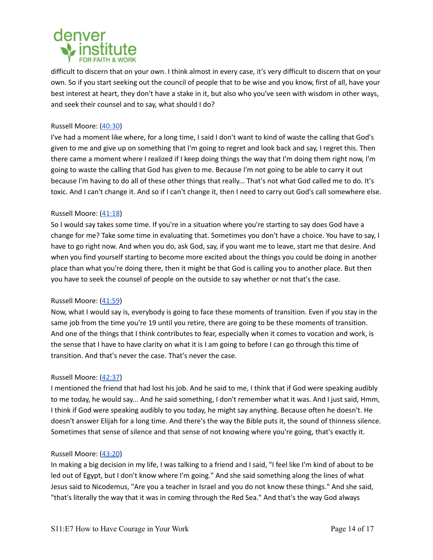

difficult to discern that on your own. I think almost in every case, it's very difficult to discern that on your own. So if you start seeking out the council of people that to be wise and you know, first of all, have your best interest at heart, they don't have a stake in it, but also who you've seen with wisdom in other ways, and seek their counsel and to say, what should I do?

# Russell Moore: [\(40:30](https://www.rev.com/transcript-editor/Edit?token=FBdrWRtQ4-Pm7iCO-YCp4LR5-Bj3G9OHMLoOApDunJtOAuxsyQDgGtSYZzYk8eoDQZRcdF5KY-GUOfYHno_5XOAsDqU&loadFrom=PastedDeeplink&ts=2430.97))

I've had a moment like where, for a long time, I said I don't want to kind of waste the calling that God's given to me and give up on something that I'm going to regret and look back and say, I regret this. Then there came a moment where I realized if I keep doing things the way that I'm doing them right now, I'm going to waste the calling that God has given to me. Because I'm not going to be able to carry it out because I'm having to do all of these other things that really... That's not what God called me to do. It's toxic. And I can't change it. And so if I can't change it, then I need to carry out God's call somewhere else.

## Russell Moore: [\(41:18](https://www.rev.com/transcript-editor/Edit?token=FBdrWRtQ4-Pm7iCO-YCp4LR5-Bj3G9OHMLoOApDunJtOAuxsyQDgGtSYZzYk8eoDQZRcdF5KY-GUOfYHno_5XOAsDqU&loadFrom=PastedDeeplink&ts=2478.08))

So I would say takes some time. If you're in a situation where you're starting to say does God have a change for me? Take some time in evaluating that. Sometimes you don't have a choice. You have to say, I have to go right now. And when you do, ask God, say, if you want me to leave, start me that desire. And when you find yourself starting to become more excited about the things you could be doing in another place than what you're doing there, then it might be that God is calling you to another place. But then you have to seek the counsel of people on the outside to say whether or not that's the case.

#### Russell Moore: [\(41:59](https://www.rev.com/transcript-editor/Edit?token=FBdrWRtQ4-Pm7iCO-YCp4LR5-Bj3G9OHMLoOApDunJtOAuxsyQDgGtSYZzYk8eoDQZRcdF5KY-GUOfYHno_5XOAsDqU&loadFrom=PastedDeeplink&ts=2519.35))

Now, what I would say is, everybody is going to face these moments of transition. Even if you stay in the same job from the time you're 19 until you retire, there are going to be these moments of transition. And one of the things that I think contributes to fear, especially when it comes to vocation and work, is the sense that I have to have clarity on what it is I am going to before I can go through this time of transition. And that's never the case. That's never the case.

#### Russell Moore: [\(42:37](https://www.rev.com/transcript-editor/Edit?token=FBdrWRtQ4-Pm7iCO-YCp4LR5-Bj3G9OHMLoOApDunJtOAuxsyQDgGtSYZzYk8eoDQZRcdF5KY-GUOfYHno_5XOAsDqU&loadFrom=PastedDeeplink&ts=2557.59))

I mentioned the friend that had lost his job. And he said to me, I think that if God were speaking audibly to me today, he would say... And he said something, I don't remember what it was. And I just said, Hmm, I think if God were speaking audibly to you today, he might say anything. Because often he doesn't. He doesn't answer Elijah for a long time. And there's the way the Bible puts it, the sound of thinness silence. Sometimes that sense of silence and that sense of not knowing where you're going, that's exactly it.

#### Russell Moore: [\(43:20](https://www.rev.com/transcript-editor/Edit?token=FBdrWRtQ4-Pm7iCO-YCp4LR5-Bj3G9OHMLoOApDunJtOAuxsyQDgGtSYZzYk8eoDQZRcdF5KY-GUOfYHno_5XOAsDqU&loadFrom=PastedDeeplink&ts=2600.41))

In making a big decision in my life, I was talking to a friend and I said, "I feel like I'm kind of about to be led out of Egypt, but I don't know where I'm going." And she said something along the lines of what Jesus said to Nicodemus, "Are you a teacher in Israel and you do not know these things." And she said, "that's literally the way that it was in coming through the Red Sea." And that's the way God always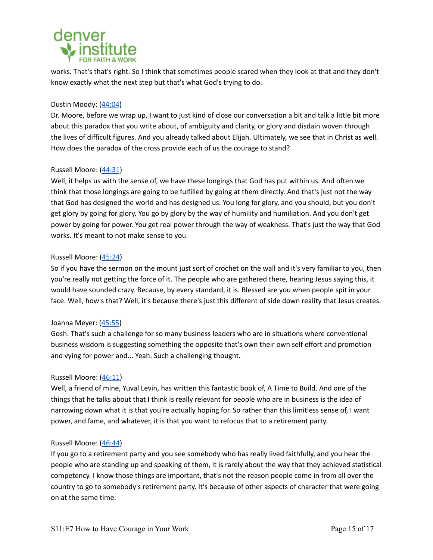# denver

works. That's that's right. So I think that sometimes people scared when they look at that and they don't know exactly what the next step but that's what God's trying to do.

# Dustin Moody: ([44:04\)](https://www.rev.com/transcript-editor/Edit?token=FBdrWRtQ4-Pm7iCO-YCp4LR5-Bj3G9OHMLoOApDunJtOAuxsyQDgGtSYZzYk8eoDQZRcdF5KY-GUOfYHno_5XOAsDqU&loadFrom=PastedDeeplink&ts=2644.4)

Dr. Moore, before we wrap up, I want to just kind of close our conversation a bit and talk a little bit more about this paradox that you write about, of ambiguity and clarity, or glory and disdain woven through the lives of difficult figures. And you already talked about Elijah. Ultimately, we see that in Christ as well. How does the paradox of the cross provide each of us the courage to stand?

# Russell Moore: [\(44:31](https://www.rev.com/transcript-editor/Edit?token=FBdrWRtQ4-Pm7iCO-YCp4LR5-Bj3G9OHMLoOApDunJtOAuxsyQDgGtSYZzYk8eoDQZRcdF5KY-GUOfYHno_5XOAsDqU&loadFrom=PastedDeeplink&ts=2671.16))

Well, it helps us with the sense of, we have these longings that God has put within us. And often we think that those longings are going to be fulfilled by going at them directly. And that's just not the way that God has designed the world and has designed us. You long for glory, and you should, but you don't get glory by going for glory. You go by glory by the way of humility and humiliation. And you don't get power by going for power. You get real power through the way of weakness. That's just the way that God works. It's meant to not make sense to you.

# Russell Moore: [\(45:24](https://www.rev.com/transcript-editor/Edit?token=FBdrWRtQ4-Pm7iCO-YCp4LR5-Bj3G9OHMLoOApDunJtOAuxsyQDgGtSYZzYk8eoDQZRcdF5KY-GUOfYHno_5XOAsDqU&loadFrom=PastedDeeplink&ts=2724.92))

So if you have the sermon on the mount just sort of crochet on the wall and it's very familiar to you, then you're really not getting the force of it. The people who are gathered there, hearing Jesus saying this, it would have sounded crazy. Because, by every standard, it is. Blessed are you when people spit in your face. Well, how's that? Well, it's because there's just this different of side down reality that Jesus creates.

# Joanna Meyer: ([45:55\)](https://www.rev.com/transcript-editor/Edit?token=FBdrWRtQ4-Pm7iCO-YCp4LR5-Bj3G9OHMLoOApDunJtOAuxsyQDgGtSYZzYk8eoDQZRcdF5KY-GUOfYHno_5XOAsDqU&loadFrom=PastedDeeplink&ts=2755.22)

Gosh. That's such a challenge for so many business leaders who are in situations where conventional business wisdom is suggesting something the opposite that's own their own self effort and promotion and vying for power and... Yeah. Such a challenging thought.

# Russell Moore: [\(46:11](https://www.rev.com/transcript-editor/Edit?token=FBdrWRtQ4-Pm7iCO-YCp4LR5-Bj3G9OHMLoOApDunJtOAuxsyQDgGtSYZzYk8eoDQZRcdF5KY-GUOfYHno_5XOAsDqU&loadFrom=PastedDeeplink&ts=2771.22))

Well, a friend of mine, Yuval Levin, has written this fantastic book of, A Time to Build. And one of the things that he talks about that I think is really relevant for people who are in business is the idea of narrowing down what it is that you're actually hoping for. So rather than this limitless sense of, I want power, and fame, and whatever, it is that you want to refocus that to a retirement party.

# Russell Moore: [\(46:44](https://www.rev.com/transcript-editor/Edit?token=FBdrWRtQ4-Pm7iCO-YCp4LR5-Bj3G9OHMLoOApDunJtOAuxsyQDgGtSYZzYk8eoDQZRcdF5KY-GUOfYHno_5XOAsDqU&loadFrom=PastedDeeplink&ts=2804.45))

If you go to a retirement party and you see somebody who has really lived faithfully, and you hear the people who are standing up and speaking of them, it is rarely about the way that they achieved statistical competency. I know those things are important, that's not the reason people come in from all over the country to go to somebody's retirement party. It's because of other aspects of character that were going on at the same time.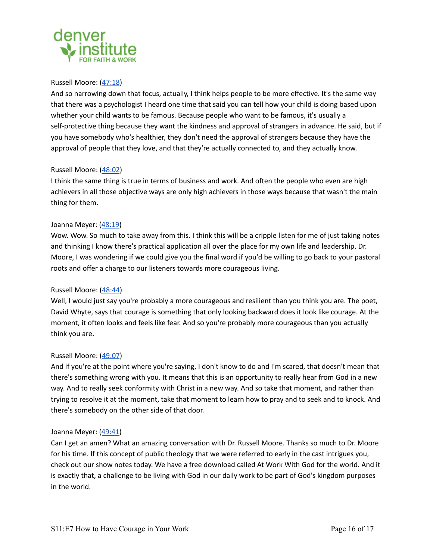

## Russell Moore: [\(47:18](https://www.rev.com/transcript-editor/Edit?token=FBdrWRtQ4-Pm7iCO-YCp4LR5-Bj3G9OHMLoOApDunJtOAuxsyQDgGtSYZzYk8eoDQZRcdF5KY-GUOfYHno_5XOAsDqU&loadFrom=PastedDeeplink&ts=2838.23))

And so narrowing down that focus, actually, I think helps people to be more effective. It's the same way that there was a psychologist I heard one time that said you can tell how your child is doing based upon whether your child wants to be famous. Because people who want to be famous, it's usually a self-protective thing because they want the kindness and approval of strangers in advance. He said, but if you have somebody who's healthier, they don't need the approval of strangers because they have the approval of people that they love, and that they're actually connected to, and they actually know.

# Russell Moore: [\(48:02](https://www.rev.com/transcript-editor/Edit?token=FBdrWRtQ4-Pm7iCO-YCp4LR5-Bj3G9OHMLoOApDunJtOAuxsyQDgGtSYZzYk8eoDQZRcdF5KY-GUOfYHno_5XOAsDqU&loadFrom=PastedDeeplink&ts=2882.8))

I think the same thing is true in terms of business and work. And often the people who even are high achievers in all those objective ways are only high achievers in those ways because that wasn't the main thing for them.

## Joanna Meyer: ([48:19\)](https://www.rev.com/transcript-editor/Edit?token=FBdrWRtQ4-Pm7iCO-YCp4LR5-Bj3G9OHMLoOApDunJtOAuxsyQDgGtSYZzYk8eoDQZRcdF5KY-GUOfYHno_5XOAsDqU&loadFrom=PastedDeeplink&ts=2899.5)

Wow. Wow. So much to take away from this. I think this will be a cripple listen for me of just taking notes and thinking I know there's practical application all over the place for my own life and leadership. Dr. Moore, I was wondering if we could give you the final word if you'd be willing to go back to your pastoral roots and offer a charge to our listeners towards more courageous living.

# Russell Moore: [\(48:44](https://www.rev.com/transcript-editor/Edit?token=FBdrWRtQ4-Pm7iCO-YCp4LR5-Bj3G9OHMLoOApDunJtOAuxsyQDgGtSYZzYk8eoDQZRcdF5KY-GUOfYHno_5XOAsDqU&loadFrom=PastedDeeplink&ts=2924.66))

Well, I would just say you're probably a more courageous and resilient than you think you are. The poet, David Whyte, says that courage is something that only looking backward does it look like courage. At the moment, it often looks and feels like fear. And so you're probably more courageous than you actually think you are.

#### Russell Moore: [\(49:07](https://www.rev.com/transcript-editor/Edit?token=FBdrWRtQ4-Pm7iCO-YCp4LR5-Bj3G9OHMLoOApDunJtOAuxsyQDgGtSYZzYk8eoDQZRcdF5KY-GUOfYHno_5XOAsDqU&loadFrom=PastedDeeplink&ts=2947.9))

And if you're at the point where you're saying, I don't know to do and I'm scared, that doesn't mean that there's something wrong with you. It means that this is an opportunity to really hear from God in a new way. And to really seek conformity with Christ in a new way. And so take that moment, and rather than trying to resolve it at the moment, take that moment to learn how to pray and to seek and to knock. And there's somebody on the other side of that door.

#### Joanna Meyer: ([49:41\)](https://www.rev.com/transcript-editor/Edit?token=FBdrWRtQ4-Pm7iCO-YCp4LR5-Bj3G9OHMLoOApDunJtOAuxsyQDgGtSYZzYk8eoDQZRcdF5KY-GUOfYHno_5XOAsDqU&loadFrom=PastedDeeplink&ts=2981.47)

Can I get an amen? What an amazing conversation with Dr. Russell Moore. Thanks so much to Dr. Moore for his time. If this concept of public theology that we were referred to early in the cast intrigues you, check out our show notes today. We have a free download called At Work With God for the world. And it is exactly that, a challenge to be living with God in our daily work to be part of God's kingdom purposes in the world.